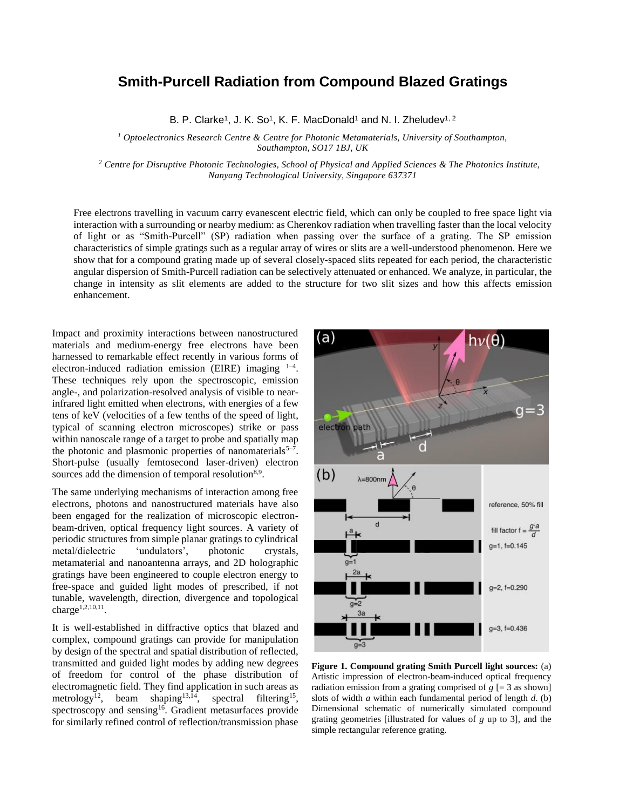## **Smith-Purcell Radiation from Compound Blazed Gratings**

B. P. Clarke<sup>1</sup>, J. K. So<sup>1</sup>, K. F. MacDonald<sup>1</sup> and N. I. Zheludev<sup>1, 2</sup>

*<sup>1</sup> Optoelectronics Research Centre & Centre for Photonic Metamaterials, University of Southampton, Southampton, SO17 1BJ, UK*

*<sup>2</sup> Centre for Disruptive Photonic Technologies, School of Physical and Applied Sciences & The Photonics Institute, Nanyang Technological University, Singapore 637371*

Free electrons travelling in vacuum carry evanescent electric field, which can only be coupled to free space light via interaction with a surrounding or nearby medium: as Cherenkov radiation when travelling faster than the local velocity of light or as "Smith-Purcell" (SP) radiation when passing over the surface of a grating. The SP emission characteristics of simple gratings such as a regular array of wires or slits are a well-understood phenomenon. Here we show that for a compound grating made up of several closely-spaced slits repeated for each period, the characteristic angular dispersion of Smith-Purcell radiation can be selectively attenuated or enhanced. We analyze, in particular, the change in intensity as slit elements are added to the structure for two slit sizes and how this affects emission enhancement.

Impact and proximity interactions between nanostructured materials and medium-energy free electrons have been harnessed to remarkable effect recently in various forms of electron-induced radiation emission (EIRE) imaging  $1-4$ . These techniques rely upon the spectroscopic, emission angle-, and polarization-resolved analysis of visible to nearinfrared light emitted when electrons, with energies of a few tens of keV (velocities of a few tenths of the speed of light, typical of scanning electron microscopes) strike or pass within nanoscale range of a target to probe and spatially map the photonic and plasmonic properties of nanomaterials<sup>5-7</sup>. Short-pulse (usually femtosecond laser-driven) electron sources add the dimension of temporal resolution<sup>8,9</sup>.

The same underlying mechanisms of interaction among free electrons, photons and nanostructured materials have also been engaged for the realization of microscopic electronbeam-driven, optical frequency light sources. A variety of periodic structures from simple planar gratings to cylindrical metal/dielectric 'undulators', photonic crystals, metamaterial and nanoantenna arrays, and 2D holographic gratings have been engineered to couple electron energy to free-space and guided light modes of prescribed, if not tunable, wavelength, direction, divergence and topological charge<sup>1,2,10,11</sup>.

It is well-established in diffractive optics that blazed and complex, compound gratings can provide for manipulation by design of the spectral and spatial distribution of reflected, transmitted and guided light modes by adding new degrees of freedom for control of the phase distribution of electromagnetic field. They find application in such areas as metrology<sup>12</sup>, beam shaping<sup>13,14</sup>, spectral filtering<sup>15</sup>, spectroscopy and sensing<sup>16</sup>. Gradient metasurfaces provide for similarly refined control of reflection/transmission phase



**Figure 1. Compound grating Smith Purcell light sources:** (a) Artistic impression of electron-beam-induced optical frequency radiation emission from a grating comprised of  $g$  [= 3 as shown] slots of width *a* within each fundamental period of length *d*. (b) Dimensional schematic of numerically simulated compound grating geometries [illustrated for values of *g* up to 3], and the simple rectangular reference grating.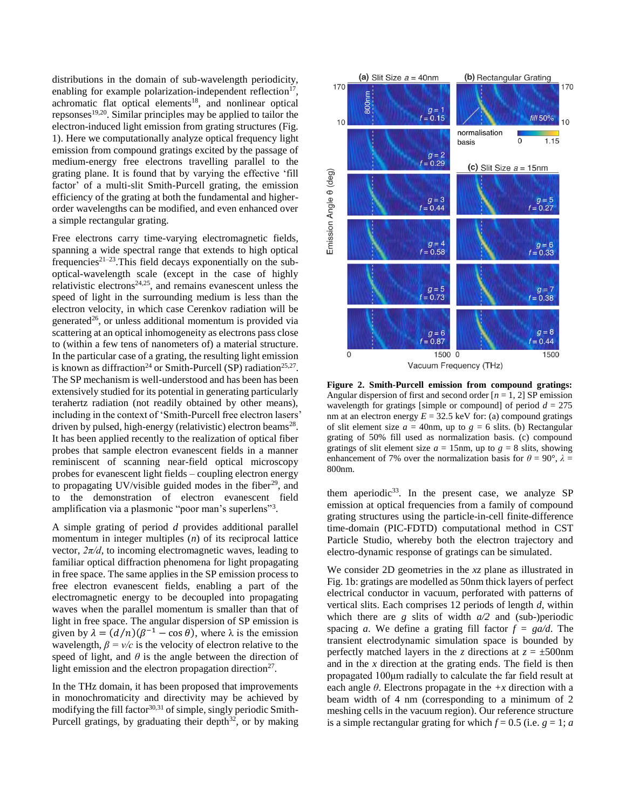distributions in the domain of sub-wavelength periodicity, enabling for example polarization-independent reflection $17$ , achromatic flat optical elements<sup>18</sup>, and nonlinear optical repsonses<sup>19,20</sup>. Similar principles may be applied to tailor the electron-induced light emission from grating structures (Fig. 1). Here we computationally analyze optical frequency light emission from compound gratings excited by the passage of medium-energy free electrons travelling parallel to the grating plane. It is found that by varying the effective 'fill factor' of a multi-slit Smith-Purcell grating, the emission efficiency of the grating at both the fundamental and higherorder wavelengths can be modified, and even enhanced over a simple rectangular grating.

Free electrons carry time-varying electromagnetic fields, spanning a wide spectral range that extends to high optical frequencies<sup>21-23</sup>. This field decays exponentially on the suboptical-wavelength scale (except in the case of highly relativistic electrons<sup>24,25</sup>, and remains evanescent unless the speed of light in the surrounding medium is less than the electron velocity, in which case Cerenkov radiation will be generated $26$ , or unless additional momentum is provided via scattering at an optical inhomogeneity as electrons pass close to (within a few tens of nanometers of) a material structure. In the particular case of a grating, the resulting light emission is known as diffraction<sup>24</sup> or Smith-Purcell (SP) radiation<sup>25,27</sup>. The SP mechanism is well-understood and has been has been extensively studied for its potential in generating particularly terahertz radiation (not readily obtained by other means), including in the context of 'Smith-Purcell free electron lasers' driven by pulsed, high-energy (relativistic) electron beams<sup>28</sup>. It has been applied recently to the realization of optical fiber probes that sample electron evanescent fields in a manner reminiscent of scanning near-field optical microscopy probes for evanescent light fields – coupling electron energy to propagating UV/visible guided modes in the fiber<sup>29</sup>, and to the demonstration of electron evanescent field amplification via a plasmonic "poor man's superlens"<sup>3</sup>.

A simple grating of period *d* provides additional parallel momentum in integer multiples (*n*) of its reciprocal lattice vector,  $2\pi/d$ , to incoming electromagnetic waves, leading to familiar optical diffraction phenomena for light propagating in free space. The same applies in the SP emission process to free electron evanescent fields, enabling a part of the electromagnetic energy to be decoupled into propagating waves when the parallel momentum is smaller than that of light in free space. The angular dispersion of SP emission is given by  $\lambda = (d/n)(\beta^{-1} - \cos \theta)$ , where  $\lambda$  is the emission wavelength,  $\beta = v/c$  is the velocity of electron relative to the speed of light, and  $\theta$  is the angle between the direction of light emission and the electron propagation direction<sup>27</sup>.

In the THz domain, it has been proposed that improvements in monochromaticity and directivity may be achieved by modifying the fill factor $30,31$  of simple, singly periodic Smith-Purcell gratings, by graduating their depth $32$ , or by making



**Figure 2. Smith-Purcell emission from compound gratings:** Angular dispersion of first and second order  $[n = 1, 2]$  SP emission wavelength for gratings [simple or compound] of period  $d = 275$ nm at an electron energy  $E = 32.5$  keV for: (a) compound gratings of slit element size  $a = 40$ nm, up to  $g = 6$  slits. (b) Rectangular grating of 50% fill used as normalization basis. (c) compound gratings of slit element size  $a = 15$ nm, up to  $g = 8$  slits, showing enhancement of 7% over the normalization basis for  $\theta = 90^{\circ}$ ,  $\lambda =$ 800nm.

them aperiodic<sup>33</sup>. In the present case, we analyze SP emission at optical frequencies from a family of compound grating structures using the particle-in-cell finite-difference time-domain (PIC-FDTD) computational method in CST Particle Studio, whereby both the electron trajectory and electro-dynamic response of gratings can be simulated.

We consider 2D geometries in the *xz* plane as illustrated in Fig. 1b: gratings are modelled as 50nm thick layers of perfect electrical conductor in vacuum, perforated with patterns of vertical slits. Each comprises 12 periods of length *d*, within which there are *g* slits of width *a/2* and (sub-)periodic spacing *a*. We define a grating fill factor  $f = \frac{g a}{d}$ . The transient electrodynamic simulation space is bounded by perfectly matched layers in the *z* directions at  $z = \pm 500$ nm and in the *x* direction at the grating ends. The field is then propagated 100μm radially to calculate the far field result at each angle  $\theta$ . Electrons propagate in the  $+x$  direction with a beam width of 4 nm (corresponding to a minimum of 2 meshing cells in the vacuum region). Our reference structure is a simple rectangular grating for which  $f = 0.5$  (i.e.  $g = 1$ ; *a*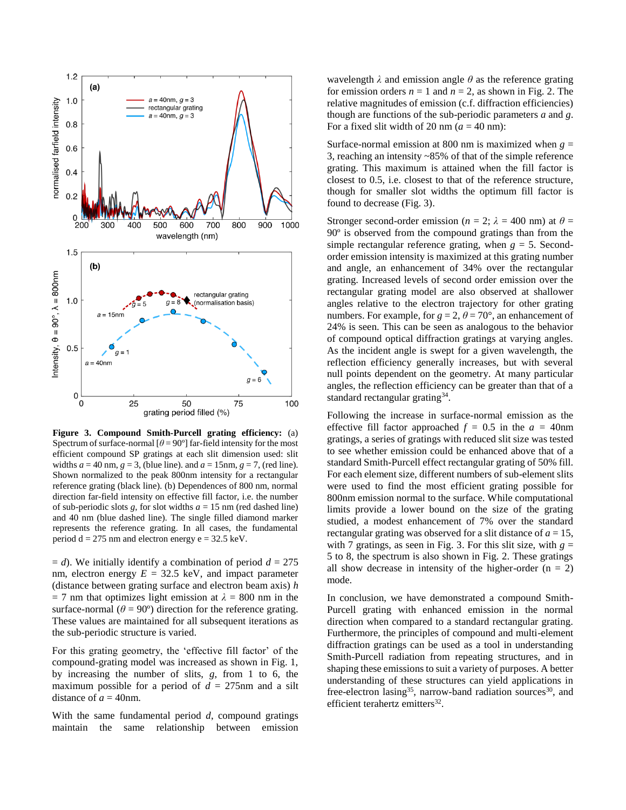

**Figure 3. Compound Smith-Purcell grating efficiency:** (a) Spectrum of surface-normal  $\theta = 90^\circ$  far-field intensity for the most efficient compound SP gratings at each slit dimension used: slit widths  $a = 40$  nm,  $g = 3$ , (blue line). and  $a = 15$ nm,  $g = 7$ , (red line). Shown normalized to the peak 800nm intensity for a rectangular reference grating (black line). (b) Dependences of 800 nm, normal direction far-field intensity on effective fill factor, i.e. the number of sub-periodic slots  $g$ , for slot widths  $a = 15$  nm (red dashed line) and 40 nm (blue dashed line). The single filled diamond marker represents the reference grating. In all cases, the fundamental period  $d = 275$  nm and electron energy  $e = 32.5$  keV.

 $= d$ ). We initially identify a combination of period  $d = 275$ nm, electron energy  $E = 32.5$  keV, and impact parameter (distance between grating surface and electron beam axis) *h*  $= 7$  nm that optimizes light emission at  $\lambda = 800$  nm in the surface-normal ( $\theta$  = 90°) direction for the reference grating. These values are maintained for all subsequent iterations as the sub-periodic structure is varied.

For this grating geometry, the 'effective fill factor' of the compound-grating model was increased as shown in Fig. 1, by increasing the number of slits, *g*, from 1 to 6, the maximum possible for a period of  $d = 275$ nm and a silt distance of  $a = 40$ nm.

With the same fundamental period *d*, compound gratings maintain the same relationship between emission

wavelength  $\lambda$  and emission angle  $\theta$  as the reference grating for emission orders  $n = 1$  and  $n = 2$ , as shown in Fig. 2. The relative magnitudes of emission (c.f. diffraction efficiencies) though are functions of the sub-periodic parameters *a* and *g*. For a fixed slit width of 20 nm  $(a = 40 \text{ nm})$ :

Surface-normal emission at 800 nm is maximized when  $g =$ 3, reaching an intensity ~85% of that of the simple reference grating. This maximum is attained when the fill factor is closest to 0.5, i.e. closest to that of the reference structure, though for smaller slot widths the optimum fill factor is found to decrease (Fig. 3).

Stronger second-order emission ( $n = 2$ ;  $\lambda = 400$  nm) at  $\theta =$ 90º is observed from the compound gratings than from the simple rectangular reference grating, when  $g = 5$ . Secondorder emission intensity is maximized at this grating number and angle, an enhancement of 34% over the rectangular grating. Increased levels of second order emission over the rectangular grating model are also observed at shallower angles relative to the electron trajectory for other grating numbers. For example, for  $g = 2$ ,  $\theta = 70^{\circ}$ , an enhancement of 24% is seen. This can be seen as analogous to the behavior of compound optical diffraction gratings at varying angles. As the incident angle is swept for a given wavelength, the reflection efficiency generally increases, but with several null points dependent on the geometry. At many particular angles, the reflection efficiency can be greater than that of a standard rectangular grating<sup>34</sup>.

Following the increase in surface-normal emission as the effective fill factor approached  $f = 0.5$  in the  $a = 40$ nm gratings, a series of gratings with reduced slit size was tested to see whether emission could be enhanced above that of a standard Smith-Purcell effect rectangular grating of 50% fill. For each element size, different numbers of sub-element slits were used to find the most efficient grating possible for 800nm emission normal to the surface. While computational limits provide a lower bound on the size of the grating studied, a modest enhancement of 7% over the standard rectangular grating was observed for a slit distance of  $a = 15$ , with 7 gratings, as seen in Fig. 3. For this slit size, with  $g =$ 5 to 8, the spectrum is also shown in Fig. 2. These gratings all show decrease in intensity of the higher-order  $(n = 2)$ mode.

In conclusion, we have demonstrated a compound Smith-Purcell grating with enhanced emission in the normal direction when compared to a standard rectangular grating. Furthermore, the principles of compound and multi-element diffraction gratings can be used as a tool in understanding Smith-Purcell radiation from repeating structures, and in shaping these emissions to suit a variety of purposes. A better understanding of these structures can yield applications in free-electron lasing<sup>35</sup>, narrow-band radiation sources<sup>30</sup>, and efficient terahertz emitters<sup>32</sup>.